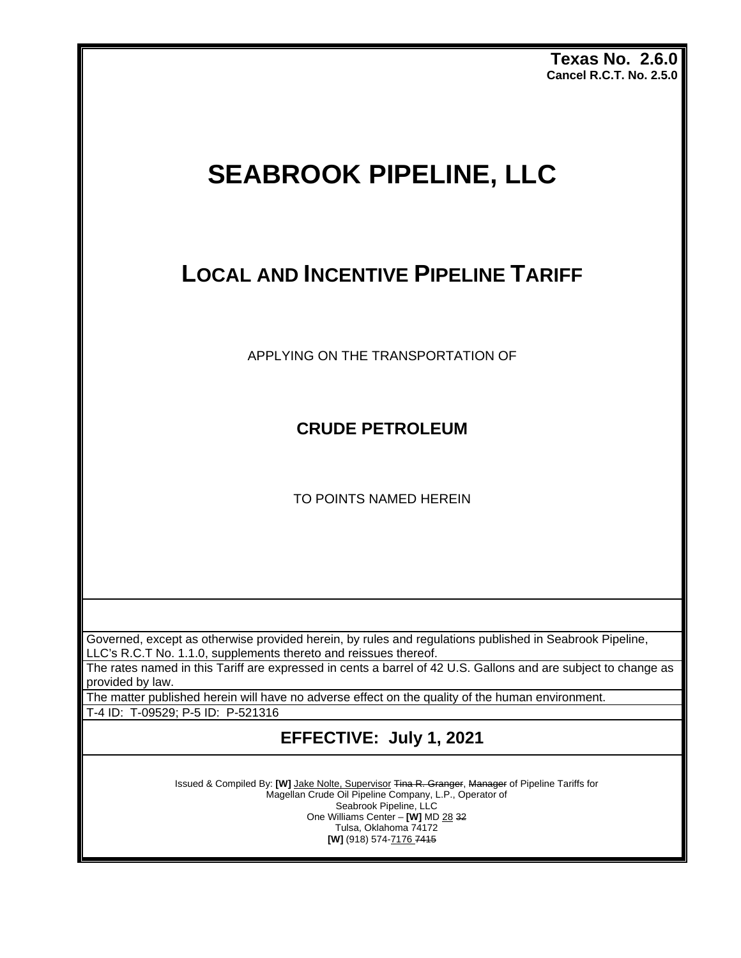**Texas No. 2.6.0 Cancel R.C.T. No. 2.5.0**

# **SEABROOK PIPELINE, LLC**

## **LOCAL AND INCENTIVE PIPELINE TARIFF**

APPLYING ON THE TRANSPORTATION OF

**CRUDE PETROLEUM** 

TO POINTS NAMED HEREIN

Governed, except as otherwise provided herein, by rules and regulations published in Seabrook Pipeline, LLC's R.C.T No. 1.1.0, supplements thereto and reissues thereof.

The rates named in this Tariff are expressed in cents a barrel of 42 U.S. Gallons and are subject to change as provided by law.

The matter published herein will have no adverse effect on the quality of the human environment.

T-4 ID: T-09529; P-5 ID: P-521316

**EFFECTIVE: July 1, 2021**

Issued & Compiled By: **[W]** Jake Nolte, Supervisor Tina R. Granger, Manager of Pipeline Tariffs for Magellan Crude Oil Pipeline Company, L.P., Operator of Seabrook Pipeline, LLC One Williams Center – **[W]** MD 28 32 Tulsa, Oklahoma 74172 **[W]** (918) 574-7176 7415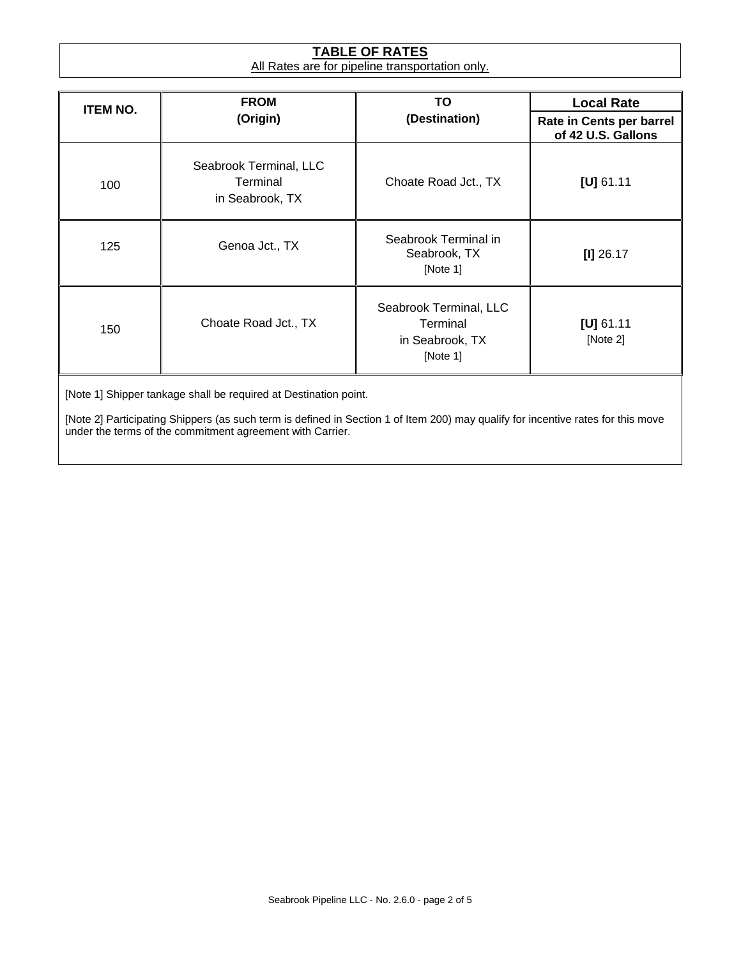#### **TABLE OF RATES** All Rates are for pipeline transportation only.

| <b>ITEM NO.</b> | <b>FROM</b><br>(Origin)                               | TO                                                                | <b>Local Rate</b>                              |  |
|-----------------|-------------------------------------------------------|-------------------------------------------------------------------|------------------------------------------------|--|
|                 |                                                       | (Destination)                                                     | Rate in Cents per barrel<br>of 42 U.S. Gallons |  |
| 100             | Seabrook Terminal, LLC<br>Terminal<br>in Seabrook, TX | Choate Road Jct., TX                                              | [U] 61.11                                      |  |
| 125             | Genoa Jct., TX                                        | Seabrook Terminal in<br>Seabrook, TX<br>[Note 1]                  | $[1]$ 26.17                                    |  |
| 150             | Choate Road Jct., TX                                  | Seabrook Terminal, LLC<br>Terminal<br>in Seabrook, TX<br>[Note 1] | [U] 61.11<br>[Note 2]                          |  |

[Note 1] Shipper tankage shall be required at Destination point.

[Note 2] Participating Shippers (as such term is defined in Section 1 of Item 200) may qualify for incentive rates for this move under the terms of the commitment agreement with Carrier.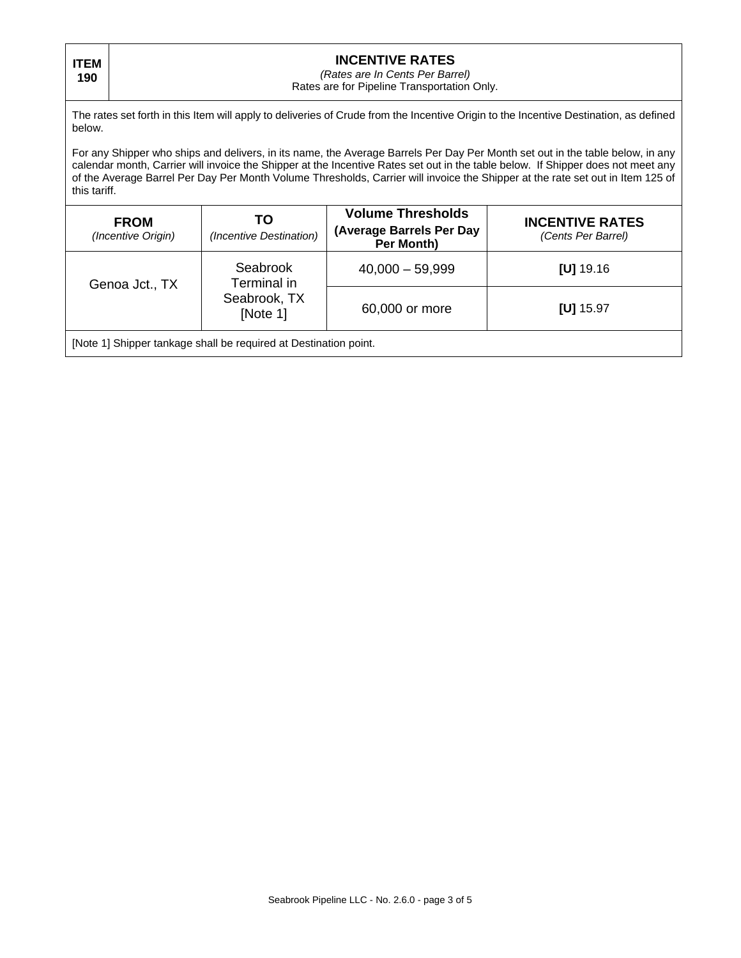**ITEM 190**

#### **INCENTIVE RATES**

*(Rates are In Cents Per Barrel)*

Rates are for Pipeline Transportation Only.

The rates set forth in this Item will apply to deliveries of Crude from the Incentive Origin to the Incentive Destination, as defined below.

For any Shipper who ships and delivers, in its name, the Average Barrels Per Day Per Month set out in the table below, in any calendar month, Carrier will invoice the Shipper at the Incentive Rates set out in the table below. If Shipper does not meet any of the Average Barrel Per Day Per Month Volume Thresholds, Carrier will invoice the Shipper at the rate set out in Item 125 of this tariff.

| <b>FROM</b><br>(Incentive Origin)                                | TO<br>(Incentive Destination) | <b>Volume Thresholds</b><br>(Average Barrels Per Day<br>Per Month) | <b>INCENTIVE RATES</b><br>(Cents Per Barrel) |  |
|------------------------------------------------------------------|-------------------------------|--------------------------------------------------------------------|----------------------------------------------|--|
| Genoa Jct., TX                                                   | Seabrook<br>Terminal in       | $40,000 - 59,999$                                                  | $[U]$ 19.16                                  |  |
|                                                                  | Seabrook, TX<br>[Note 1]      | 60,000 or more                                                     | [U] $15.97$                                  |  |
| [Note 1] Shipper tankage shall be required at Destination point. |                               |                                                                    |                                              |  |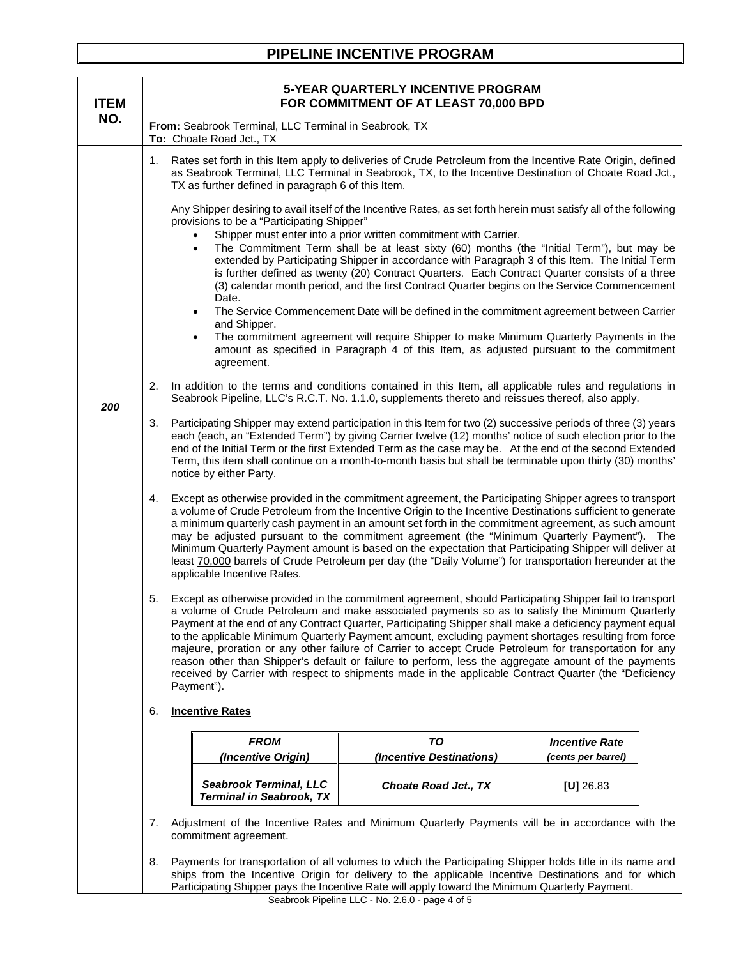### **PIPELINE INCENTIVE PROGRAM**

| <b>ITEM</b> | <b>5-YEAR QUARTERLY INCENTIVE PROGRAM</b><br>FOR COMMITMENT OF AT LEAST 70,000 BPD                                                                                                                                                                                                                                                                                                                                                                                                                                                                                                                                                                                                                                                                                                                                                                                                                                                                                                                     |                                                                                                                          |                                                                                                                                                                                                                                                                                                                                                                                                                                                                                                                                                                                                                                                    |                                             |  |
|-------------|--------------------------------------------------------------------------------------------------------------------------------------------------------------------------------------------------------------------------------------------------------------------------------------------------------------------------------------------------------------------------------------------------------------------------------------------------------------------------------------------------------------------------------------------------------------------------------------------------------------------------------------------------------------------------------------------------------------------------------------------------------------------------------------------------------------------------------------------------------------------------------------------------------------------------------------------------------------------------------------------------------|--------------------------------------------------------------------------------------------------------------------------|----------------------------------------------------------------------------------------------------------------------------------------------------------------------------------------------------------------------------------------------------------------------------------------------------------------------------------------------------------------------------------------------------------------------------------------------------------------------------------------------------------------------------------------------------------------------------------------------------------------------------------------------------|---------------------------------------------|--|
| NO.         | From: Seabrook Terminal, LLC Terminal in Seabrook, TX<br>To: Choate Road Jct., TX                                                                                                                                                                                                                                                                                                                                                                                                                                                                                                                                                                                                                                                                                                                                                                                                                                                                                                                      |                                                                                                                          |                                                                                                                                                                                                                                                                                                                                                                                                                                                                                                                                                                                                                                                    |                                             |  |
|             | 1.                                                                                                                                                                                                                                                                                                                                                                                                                                                                                                                                                                                                                                                                                                                                                                                                                                                                                                                                                                                                     | TX as further defined in paragraph 6 of this Item.                                                                       | Rates set forth in this Item apply to deliveries of Crude Petroleum from the Incentive Rate Origin, defined<br>as Seabrook Terminal, LLC Terminal in Seabrook, TX, to the Incentive Destination of Choate Road Jct.,                                                                                                                                                                                                                                                                                                                                                                                                                               |                                             |  |
|             | Any Shipper desiring to avail itself of the Incentive Rates, as set forth herein must satisfy all of the following<br>provisions to be a "Participating Shipper"<br>Shipper must enter into a prior written commitment with Carrier.<br>The Commitment Term shall be at least sixty (60) months (the "Initial Term"), but may be<br>$\bullet$<br>extended by Participating Shipper in accordance with Paragraph 3 of this Item. The Initial Term<br>is further defined as twenty (20) Contract Quarters. Each Contract Quarter consists of a three<br>(3) calendar month period, and the first Contract Quarter begins on the Service Commencement<br>Date.<br>The Service Commencement Date will be defined in the commitment agreement between Carrier<br>$\bullet$<br>and Shipper.<br>The commitment agreement will require Shipper to make Minimum Quarterly Payments in the<br>$\bullet$<br>amount as specified in Paragraph 4 of this Item, as adjusted pursuant to the commitment<br>agreement. |                                                                                                                          |                                                                                                                                                                                                                                                                                                                                                                                                                                                                                                                                                                                                                                                    |                                             |  |
| 200         | 2.                                                                                                                                                                                                                                                                                                                                                                                                                                                                                                                                                                                                                                                                                                                                                                                                                                                                                                                                                                                                     |                                                                                                                          | In addition to the terms and conditions contained in this Item, all applicable rules and regulations in<br>Seabrook Pipeline, LLC's R.C.T. No. 1.1.0, supplements thereto and reissues thereof, also apply.                                                                                                                                                                                                                                                                                                                                                                                                                                        |                                             |  |
|             | Participating Shipper may extend participation in this Item for two (2) successive periods of three (3) years<br>3.<br>each (each, an "Extended Term") by giving Carrier twelve (12) months' notice of such election prior to the<br>end of the Initial Term or the first Extended Term as the case may be. At the end of the second Extended<br>Term, this item shall continue on a month-to-month basis but shall be terminable upon thirty (30) months'<br>notice by either Party.                                                                                                                                                                                                                                                                                                                                                                                                                                                                                                                  |                                                                                                                          |                                                                                                                                                                                                                                                                                                                                                                                                                                                                                                                                                                                                                                                    |                                             |  |
|             | 4.                                                                                                                                                                                                                                                                                                                                                                                                                                                                                                                                                                                                                                                                                                                                                                                                                                                                                                                                                                                                     | applicable Incentive Rates.                                                                                              | Except as otherwise provided in the commitment agreement, the Participating Shipper agrees to transport<br>a volume of Crude Petroleum from the Incentive Origin to the Incentive Destinations sufficient to generate<br>a minimum quarterly cash payment in an amount set forth in the commitment agreement, as such amount<br>may be adjusted pursuant to the commitment agreement (the "Minimum Quarterly Payment"). The<br>Minimum Quarterly Payment amount is based on the expectation that Participating Shipper will deliver at<br>least 70,000 barrels of Crude Petroleum per day (the "Daily Volume") for transportation hereunder at the |                                             |  |
|             | Except as otherwise provided in the commitment agreement, should Participating Shipper fail to transport<br>5.<br>a volume of Crude Petroleum and make associated payments so as to satisfy the Minimum Quarterly<br>Payment at the end of any Contract Quarter, Participating Shipper shall make a deficiency payment equal<br>to the applicable Minimum Quarterly Payment amount, excluding payment shortages resulting from force<br>majeure, proration or any other failure of Carrier to accept Crude Petroleum for transportation for any<br>reason other than Shipper's default or failure to perform, less the aggregate amount of the payments<br>received by Carrier with respect to shipments made in the applicable Contract Quarter (the "Deficiency<br>Payment").                                                                                                                                                                                                                        |                                                                                                                          |                                                                                                                                                                                                                                                                                                                                                                                                                                                                                                                                                                                                                                                    |                                             |  |
|             | 6.                                                                                                                                                                                                                                                                                                                                                                                                                                                                                                                                                                                                                                                                                                                                                                                                                                                                                                                                                                                                     | <b>Incentive Rates</b>                                                                                                   |                                                                                                                                                                                                                                                                                                                                                                                                                                                                                                                                                                                                                                                    |                                             |  |
|             |                                                                                                                                                                                                                                                                                                                                                                                                                                                                                                                                                                                                                                                                                                                                                                                                                                                                                                                                                                                                        | <b>FROM</b><br>(Incentive Origin)                                                                                        | <b>TO</b><br>(Incentive Destinations)                                                                                                                                                                                                                                                                                                                                                                                                                                                                                                                                                                                                              | <b>Incentive Rate</b><br>(cents per barrel) |  |
|             |                                                                                                                                                                                                                                                                                                                                                                                                                                                                                                                                                                                                                                                                                                                                                                                                                                                                                                                                                                                                        | <b>Seabrook Terminal, LLC</b><br><b>Terminal in Seabrook, TX</b>                                                         | <b>Choate Road Jct., TX</b>                                                                                                                                                                                                                                                                                                                                                                                                                                                                                                                                                                                                                        | [U] $26.83$                                 |  |
|             | 7.                                                                                                                                                                                                                                                                                                                                                                                                                                                                                                                                                                                                                                                                                                                                                                                                                                                                                                                                                                                                     | Adjustment of the Incentive Rates and Minimum Quarterly Payments will be in accordance with the<br>commitment agreement. |                                                                                                                                                                                                                                                                                                                                                                                                                                                                                                                                                                                                                                                    |                                             |  |
|             | 8.                                                                                                                                                                                                                                                                                                                                                                                                                                                                                                                                                                                                                                                                                                                                                                                                                                                                                                                                                                                                     |                                                                                                                          | Payments for transportation of all volumes to which the Participating Shipper holds title in its name and<br>ships from the Incentive Origin for delivery to the applicable Incentive Destinations and for which<br>Participating Shipper pays the Incentive Rate will apply toward the Minimum Quarterly Payment.<br>Scabrook Pinoling LLC No. 260 nago 4 of 5                                                                                                                                                                                                                                                                                    |                                             |  |